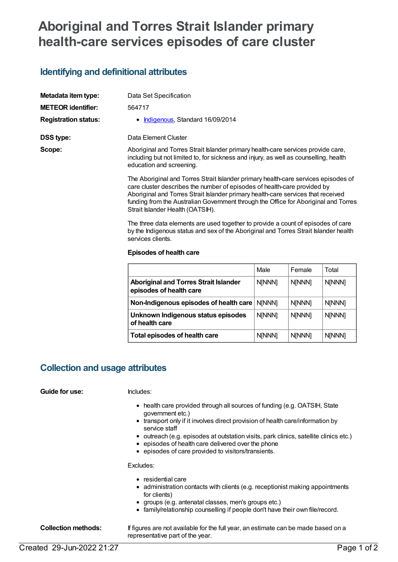# **Aboriginal and Torres Strait Islander primary health-care services episodes of care cluster**

## **Identifying and definitional attributes**

| Metadata item type:         | Data Set Specification                                                                                                                                                                                                                             |  |
|-----------------------------|----------------------------------------------------------------------------------------------------------------------------------------------------------------------------------------------------------------------------------------------------|--|
| <b>METEOR identifier:</b>   | 564717                                                                                                                                                                                                                                             |  |
| <b>Registration status:</b> | • Indigenous, Standard 16/09/2014                                                                                                                                                                                                                  |  |
| DSS type:                   | Data Element Cluster                                                                                                                                                                                                                               |  |
| Scope:                      | Aboriginal and Torres Strait Islander primary health-care services provide care,<br>including but not limited to, for sickness and injury, as well as counselling, health<br>education and screening.                                              |  |
|                             | The Aboriginal and Torres Strait Islander primary health-care services episodes of<br>care cluster describes the number of episodes of health-care provided by<br>Aboriginal and Torres Strait Islander primary health-care services that received |  |

Aboriginal and Torres Strait Islander primary health-care services that received funding from the Australian Government through the Office for Aboriginal and Torres Strait Islander Health (OATSIH).

The three data elements are used together to provide a count of episodes of care by the Indigenous status and sex of the Aboriginal and Torres Strait Islander health services clients.

### **Episodes of health care**

|                                                                         | Male          | Female        | Total         |
|-------------------------------------------------------------------------|---------------|---------------|---------------|
| <b>Aboriginal and Torres Strait Islander</b><br>episodes of health care | <b>N[NNN]</b> | <b>N[NNN]</b> | <b>N[NNN]</b> |
| Non-Indigenous episodes of health care                                  | <b>NINNN1</b> | <b>N[NNN]</b> | <b>N[NNN]</b> |
| Unknown Indigenous status episodes<br>of health care                    | N[NNN]        | N[NNN]        | N[NNN]        |
| Total episodes of health care                                           | <b>N[NNN]</b> | <b>N[NNN]</b> | <b>N[NNN]</b> |

## **Collection and usage attributes**

### **Guide for use:** Includes:

- health care provided through all sources of funding (e.g. OATSIH, State government etc.)
- transport only if it involves direct provision of health care/information by service staff
- outreach (e.g. episodes at outstation visits, park clinics, satellite clinics etc.)
- $\bullet$  episodes of health care delivered over the phone
- episodes of care provided to visitors/transients.

Excludes:

- residential care
- administration contacts with clients (e.g. receptionist making appointments for clients)
- groups (e.g. antenatal classes, men's groups etc.)
- family/relationship counselling if people don't have their own file/record.

**Collection methods:** If figures are not available for the full year, an estimate can be made based on a representative part of the year.